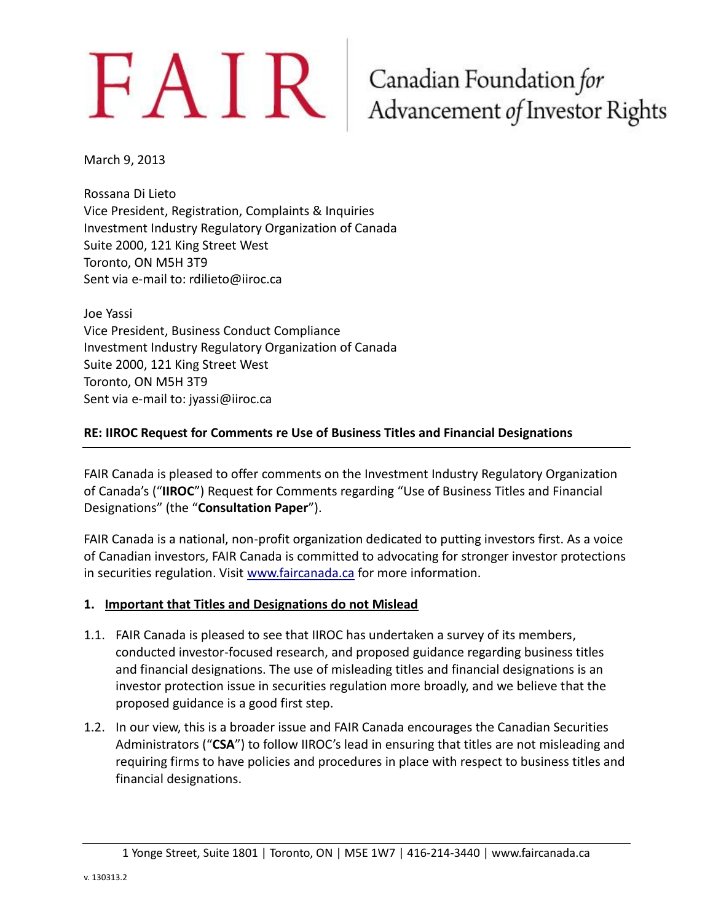# $FAN$ R Canadian Foundation for Advancement of Investor Rights

March 9, 2013

Rossana Di Lieto Vice President, Registration, Complaints & Inquiries Investment Industry Regulatory Organization of Canada Suite 2000, 121 King Street West Toronto, ON M5H 3T9 Sent via e-mail to: rdilieto@iiroc.ca

Joe Yassi Vice President, Business Conduct Compliance Investment Industry Regulatory Organization of Canada Suite 2000, 121 King Street West Toronto, ON M5H 3T9 Sent via e-mail to: jyassi@iiroc.ca

### **RE: IIROC Request for Comments re Use of Business Titles and Financial Designations**

FAIR Canada is pleased to offer comments on the Investment Industry Regulatory Organization of Canada's ("**IIROC**") Request for Comments regarding "Use of Business Titles and Financial Designations" (the "**Consultation Paper**").

FAIR Canada is a national, non-profit organization dedicated to putting investors first. As a voice of Canadian investors, FAIR Canada is committed to advocating for stronger investor protections in securities regulation. Visit [www.faircanada.ca](http://www.faircanada.ca/) for more information.

### **1. Important that Titles and Designations do not Mislead**

- 1.1. FAIR Canada is pleased to see that IIROC has undertaken a survey of its members, conducted investor-focused research, and proposed guidance regarding business titles and financial designations. The use of misleading titles and financial designations is an investor protection issue in securities regulation more broadly, and we believe that the proposed guidance is a good first step.
- 1.2. In our view, this is a broader issue and FAIR Canada encourages the Canadian Securities Administrators ("**CSA**") to follow IIROC's lead in ensuring that titles are not misleading and requiring firms to have policies and procedures in place with respect to business titles and financial designations.

<sup>1</sup> Yonge Street, Suite 1801 | Toronto, ON | M5E 1W7 | 416-214-3440 | www.faircanada.ca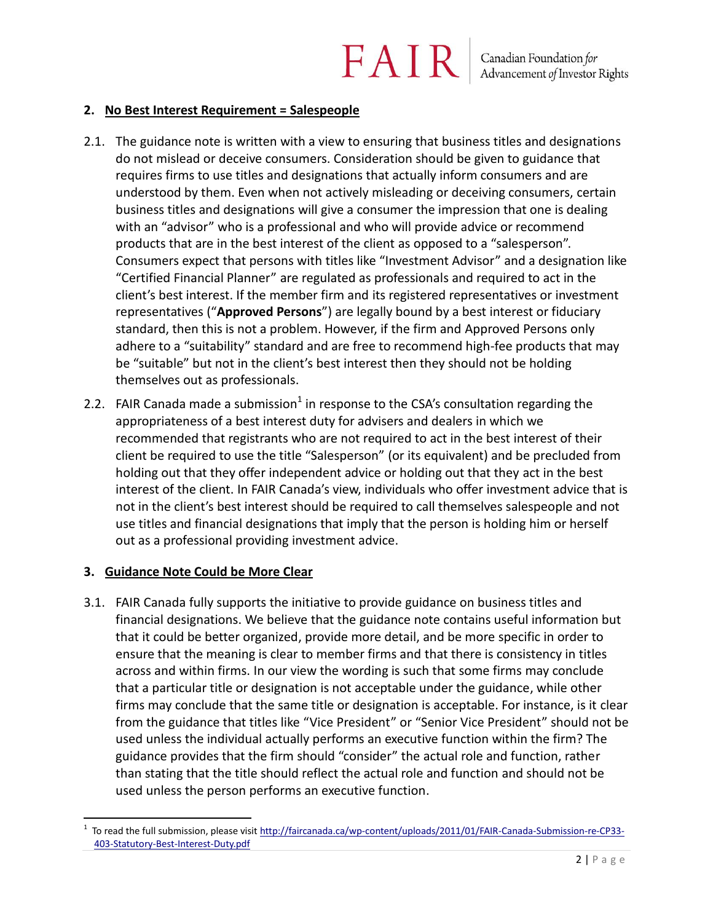#### **2. No Best Interest Requirement = Salespeople**

- 2.1. The guidance note is written with a view to ensuring that business titles and designations do not mislead or deceive consumers. Consideration should be given to guidance that requires firms to use titles and designations that actually inform consumers and are understood by them. Even when not actively misleading or deceiving consumers, certain business titles and designations will give a consumer the impression that one is dealing with an "advisor" who is a professional and who will provide advice or recommend products that are in the best interest of the client as opposed to a "salesperson". Consumers expect that persons with titles like "Investment Advisor" and a designation like "Certified Financial Planner" are regulated as professionals and required to act in the client's best interest. If the member firm and its registered representatives or investment representatives ("**Approved Persons**") are legally bound by a best interest or fiduciary standard, then this is not a problem. However, if the firm and Approved Persons only adhere to a "suitability" standard and are free to recommend high-fee products that may be "suitable" but not in the client's best interest then they should not be holding themselves out as professionals.
- 2.2. FAIR Canada made a submission<sup>1</sup> in response to the CSA's consultation regarding the appropriateness of a best interest duty for advisers and dealers in which we recommended that registrants who are not required to act in the best interest of their client be required to use the title "Salesperson" (or its equivalent) and be precluded from holding out that they offer independent advice or holding out that they act in the best interest of the client. In FAIR Canada's view, individuals who offer investment advice that is not in the client's best interest should be required to call themselves salespeople and not use titles and financial designations that imply that the person is holding him or herself out as a professional providing investment advice.

#### **3. Guidance Note Could be More Clear**

 $\overline{a}$ 

3.1. FAIR Canada fully supports the initiative to provide guidance on business titles and financial designations. We believe that the guidance note contains useful information but that it could be better organized, provide more detail, and be more specific in order to ensure that the meaning is clear to member firms and that there is consistency in titles across and within firms. In our view the wording is such that some firms may conclude that a particular title or designation is not acceptable under the guidance, while other firms may conclude that the same title or designation is acceptable. For instance, is it clear from the guidance that titles like "Vice President" or "Senior Vice President" should not be used unless the individual actually performs an executive function within the firm? The guidance provides that the firm should "consider" the actual role and function, rather than stating that the title should reflect the actual role and function and should not be used unless the person performs an executive function.

<sup>1</sup> To read the full submission, please visi[t http://faircanada.ca/wp-content/uploads/2011/01/FAIR-Canada-Submission-re-CP33-](http://faircanada.ca/wp-content/uploads/2011/01/FAIR-Canada-Submission-re-CP33-403-Statutory-Best-Interest-Duty.pdf) [403-Statutory-Best-Interest-Duty.pdf](http://faircanada.ca/wp-content/uploads/2011/01/FAIR-Canada-Submission-re-CP33-403-Statutory-Best-Interest-Duty.pdf)